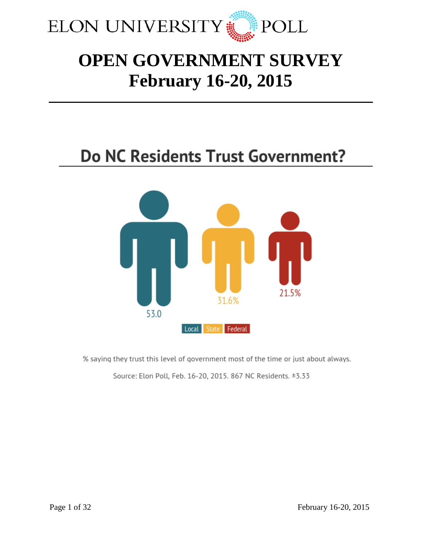

# **OPEN GOVERNMENT SURVEY February 16-20, 2015**

# **Do NC Residents Trust Government?**



% saying they trust this level of government most of the time or just about always.

Source: Elon Poll, Feb. 16-20, 2015. 867 NC Residents. ±3.33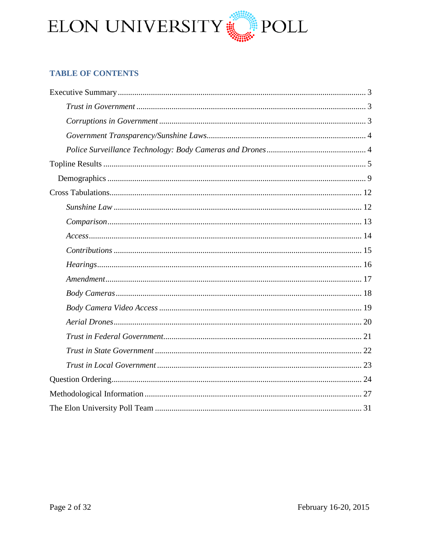

# **TABLE OF CONTENTS**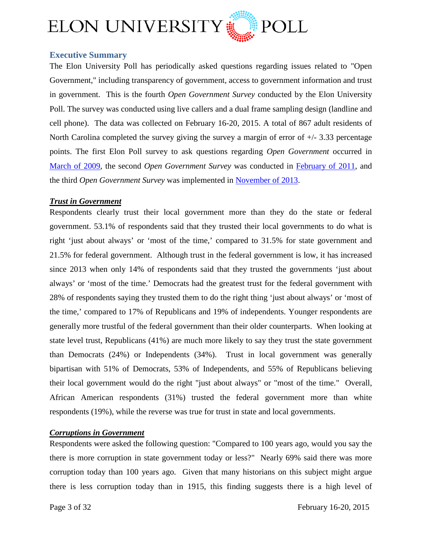

# <span id="page-2-0"></span>**Executive Summary**

The Elon University Poll has periodically asked questions regarding issues related to "Open Government," including transparency of government, access to government information and trust in government. This is the fourth *Open Government Survey* conducted by the Elon University Poll. The survey was conducted using live callers and a dual frame sampling design (landline and cell phone). The data was collected on February 16-20, 2015. A total of 867 adult residents of North Carolina completed the survey giving the survey a margin of error of  $+/- 3.33$  percentage points. The first Elon Poll survey to ask questions regarding *Open Government* occurred in [March of 2009,](http://www.elon.edu/docs/e-web/elonpoll/032009ElonPollData.pdf) the second *Open Government Survey* was conducted in [February of 2011,](http://www.elon.edu/docs/e-web/elonpoll/031111_PollMethodology.pdf) and the third *Open Government Survey* was implemented in [November of 2013.](http://www.elon.edu/docs/e-web/elonpoll/120413_ElonPollOpenGovt_ExecSum.pdf)

## <span id="page-2-1"></span>*Trust in Government*

Respondents clearly trust their local government more than they do the state or federal government. 53.1% of respondents said that they trusted their local governments to do what is right 'just about always' or 'most of the time,' compared to 31.5% for state government and 21.5% for federal government. Although trust in the federal government is low, it has increased since 2013 when only 14% of respondents said that they trusted the governments 'just about always' or 'most of the time.' Democrats had the greatest trust for the federal government with 28% of respondents saying they trusted them to do the right thing 'just about always' or 'most of the time,' compared to 17% of Republicans and 19% of independents. Younger respondents are generally more trustful of the federal government than their older counterparts. When looking at state level trust, Republicans (41%) are much more likely to say they trust the state government than Democrats (24%) or Independents (34%). Trust in local government was generally bipartisan with 51% of Democrats, 53% of Independents, and 55% of Republicans believing their local government would do the right "just about always" or "most of the time." Overall, African American respondents (31%) trusted the federal government more than white respondents (19%), while the reverse was true for trust in state and local governments.

# <span id="page-2-2"></span>*Corruptions in Government*

Respondents were asked the following question: "Compared to 100 years ago, would you say the there is more corruption in state government today or less?" Nearly 69% said there was more corruption today than 100 years ago. Given that many historians on this subject might argue there is less corruption today than in 1915, this finding suggests there is a high level of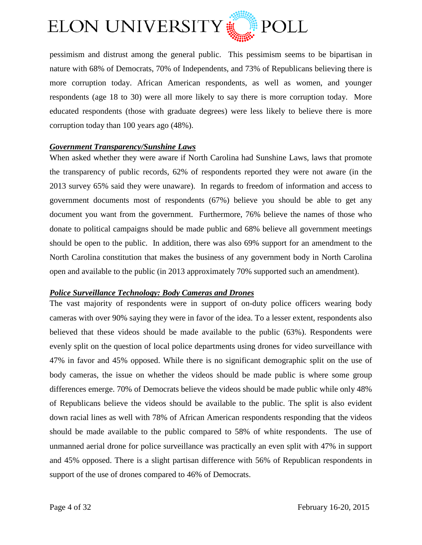

pessimism and distrust among the general public. This pessimism seems to be bipartisan in nature with 68% of Democrats, 70% of Independents, and 73% of Republicans believing there is more corruption today. African American respondents, as well as women, and younger respondents (age 18 to 30) were all more likely to say there is more corruption today. More educated respondents (those with graduate degrees) were less likely to believe there is more corruption today than 100 years ago (48%).

## <span id="page-3-0"></span>*Government Transparency/Sunshine Laws*

When asked whether they were aware if North Carolina had Sunshine Laws, laws that promote the transparency of public records, 62% of respondents reported they were not aware (in the 2013 survey 65% said they were unaware). In regards to freedom of information and access to government documents most of respondents (67%) believe you should be able to get any document you want from the government. Furthermore, 76% believe the names of those who donate to political campaigns should be made public and 68% believe all government meetings should be open to the public. In addition, there was also 69% support for an amendment to the North Carolina constitution that makes the business of any government body in North Carolina open and available to the public (in 2013 approximately 70% supported such an amendment).

## <span id="page-3-1"></span>*Police Surveillance Technology: Body Cameras and Drones*

The vast majority of respondents were in support of on-duty police officers wearing body cameras with over 90% saying they were in favor of the idea. To a lesser extent, respondents also believed that these videos should be made available to the public (63%). Respondents were evenly split on the question of local police departments using drones for video surveillance with 47% in favor and 45% opposed. While there is no significant demographic split on the use of body cameras, the issue on whether the videos should be made public is where some group differences emerge. 70% of Democrats believe the videos should be made public while only 48% of Republicans believe the videos should be available to the public. The split is also evident down racial lines as well with 78% of African American respondents responding that the videos should be made available to the public compared to 58% of white respondents. The use of unmanned aerial drone for police surveillance was practically an even split with 47% in support and 45% opposed. There is a slight partisan difference with 56% of Republican respondents in support of the use of drones compared to 46% of Democrats.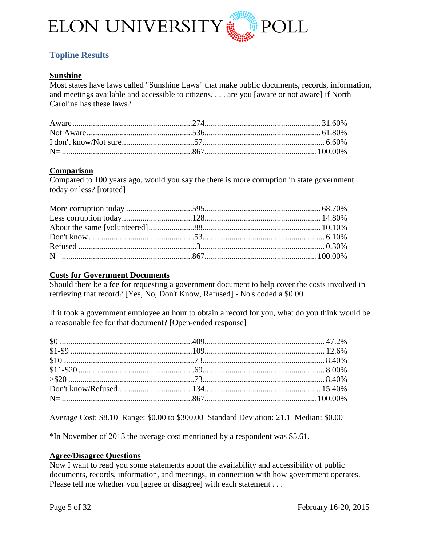

# <span id="page-4-0"></span>**Topline Results**

# **Sunshine**

Most states have laws called "Sunshine Laws" that make public documents, records, information, and meetings available and accessible to citizens. . . . are you [aware or not aware] if North Carolina has these laws?

## **Comparison**

Compared to 100 years ago, would you say the there is more corruption in state government today or less? [rotated]

# **Costs for Government Documents**

Should there be a fee for requesting a government document to help cover the costs involved in retrieving that record? [Yes, No, Don't Know, Refused] - No's coded a \$0.00

If it took a government employee an hour to obtain a record for you, what do you think would be a reasonable fee for that document? [Open-ended response]

Average Cost: \$8.10 Range: \$0.00 to \$300.00 Standard Deviation: 21.1 Median: \$0.00

\*In November of 2013 the average cost mentioned by a respondent was \$5.61.

## **Agree/Disagree Questions**

Now I want to read you some statements about the availability and accessibility of public documents, records, information, and meetings, in connection with how government operates. Please tell me whether you [agree or disagree] with each statement . . .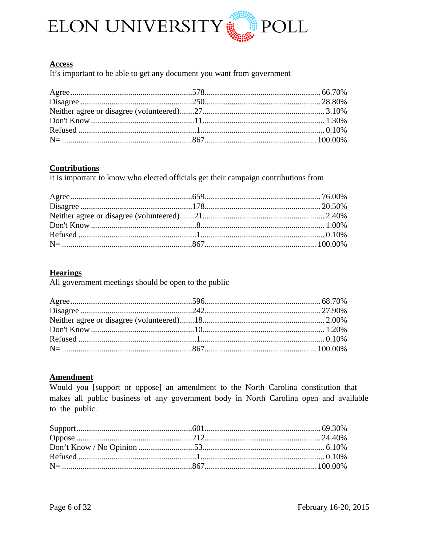

#### **Access**

It's important to be able to get any document you want from government

## **Contributions**

It is important to know who elected officials get their campaign contributions from

## **Hearings**

All government meetings should be open to the public

## **Amendment**

Would you [support or oppose] an amendment to the North Carolina constitution that makes all public business of any government body in North Carolina open and available to the public.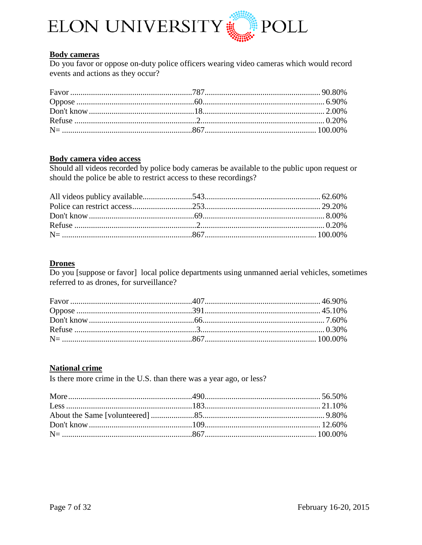

## **Body cameras**

Do you favor or oppose on-duty police officers wearing video cameras which would record events and actions as they occur?

# **Body camera video access**

Should all videos recorded by police body cameras be available to the public upon request or should the police be able to restrict access to these recordings?

#### **Drones**

Do you [suppose or favor] local police departments using unmanned aerial vehicles, sometimes referred to as drones, for surveillance?

## **National crime**

Is there more crime in the U.S. than there was a year ago, or less?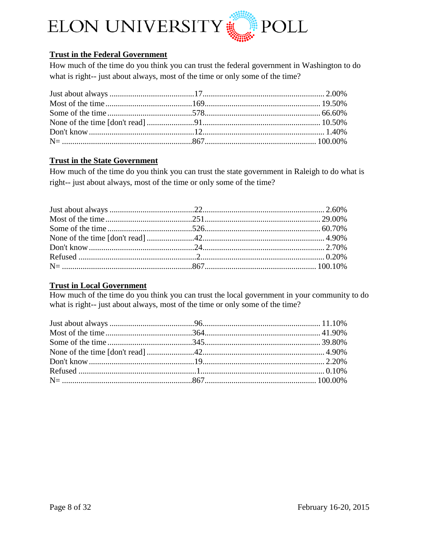

# **Trust in the Federal Government**

How much of the time do you think you can trust the federal government in Washington to do what is right-- just about always, most of the time or only some of the time?

# **Trust in the State Government**

How much of the time do you think you can trust the state government in Raleigh to do what is right-- just about always, most of the time or only some of the time?

# **Trust in Local Government**

How much of the time do you think you can trust the local government in your community to do what is right-- just about always, most of the time or only some of the time?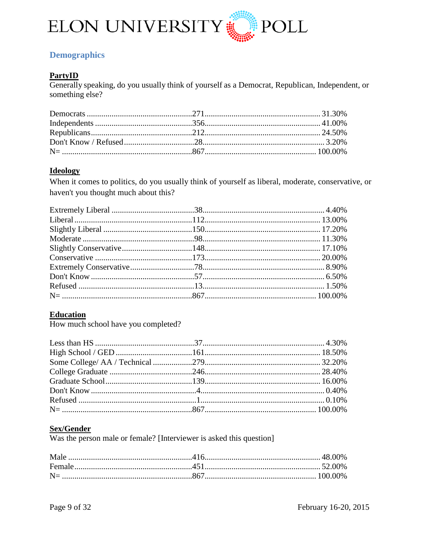

# <span id="page-8-0"></span>**Demographics**

# **PartyID**

Generally speaking, do you usually think of yourself as a Democrat, Republican, Independent, or something else?

## **Ideology**

When it comes to politics, do you usually think of yourself as liberal, moderate, conservative, or haven't you thought much about this?

## **Education**

How much school have you completed?

# **Sex/Gender**

Was the person male or female? [Interviewer is asked this question]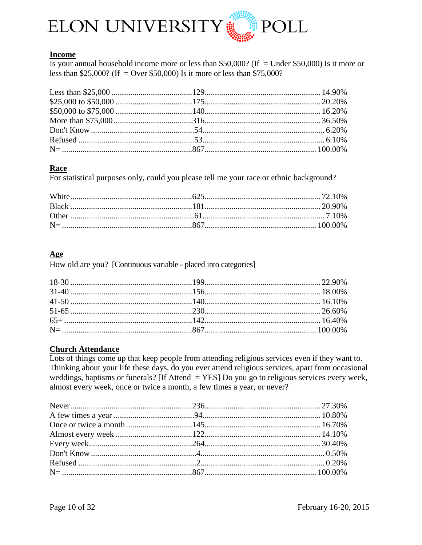

# **Income**

Is your annual household income more or less than \$50,000? (If = Under \$50,000) Is it more or less than \$25,000? (If = Over \$50,000) Is it more or less than \$75,000?

# Race

For statistical purposes only, could you please tell me your race or ethnic background?

# Age

How old are you? [Continuous variable - placed into categories]

## **Church Attendance**

Lots of things come up that keep people from attending religious services even if they want to. Thinking about your life these days, do you ever attend religious services, apart from occasional weddings, baptisms or funerals? [If Attend  $=$  YES] Do you go to religious services every week, almost every week, once or twice a month, a few times a year, or never?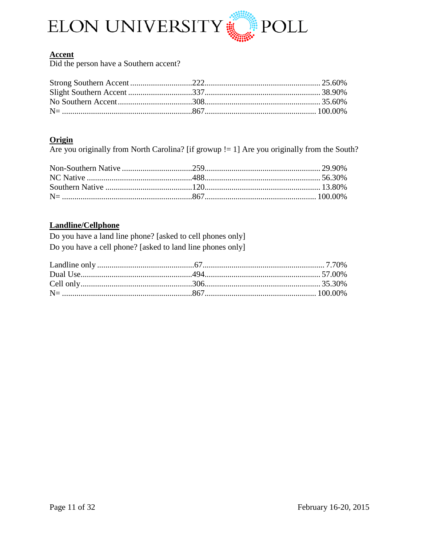

# **Accent**

Did the person have a Southern accent?

# Origin

Are you originally from North Carolina? [if growup  $!= 1$ ] Are you originally from the South?

# **Landline/Cellphone**

Do you have a land line phone? [asked to cell phones only] Do you have a cell phone? [asked to land line phones only]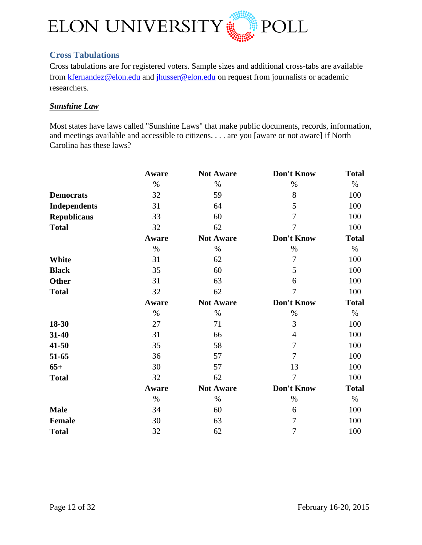

# <span id="page-11-0"></span>**Cross Tabulations**

Cross tabulations are for registered voters. Sample sizes and additional cross-tabs are available from [kfernandez@elon.edu](mailto:kfernandez@elon.edu) and [jhusser@elon.edu](mailto:jhusser@elon.edu) on request from journalists or academic researchers.

# <span id="page-11-1"></span>*Sunshine Law*

Most states have laws called "Sunshine Laws" that make public documents, records, information, and meetings available and accessible to citizens. . . . are you [aware or not aware] if North Carolina has these laws?

|                     | Aware | <b>Not Aware</b> | Don't Know     | <b>Total</b> |
|---------------------|-------|------------------|----------------|--------------|
|                     | $\%$  | $\%$             | $\%$           | $\%$         |
| <b>Democrats</b>    | 32    | 59               | 8              | 100          |
| <b>Independents</b> | 31    | 64               | 5              | 100          |
| <b>Republicans</b>  | 33    | 60               | 7              | 100          |
| <b>Total</b>        | 32    | 62               | $\overline{7}$ | 100          |
|                     | Aware | <b>Not Aware</b> | Don't Know     | <b>Total</b> |
|                     | $\%$  | $\%$             | $\%$           | $\%$         |
| White               | 31    | 62               | 7              | 100          |
| <b>Black</b>        | 35    | 60               | 5              | 100          |
| <b>Other</b>        | 31    | 63               | 6              | 100          |
| <b>Total</b>        | 32    | 62               | $\overline{7}$ | 100          |
|                     | Aware | <b>Not Aware</b> | Don't Know     | <b>Total</b> |
|                     | $\%$  | $\%$             | $\%$           | $\%$         |
| 18-30               | 27    | 71               | 3              | 100          |
| 31-40               | 31    | 66               | $\overline{4}$ | 100          |
| 41-50               | 35    | 58               | 7              | 100          |
| 51-65               | 36    | 57               | 7              | 100          |
| $65+$               | 30    | 57               | 13             | 100          |
| <b>Total</b>        | 32    | 62               | $\overline{7}$ | 100          |
|                     | Aware | <b>Not Aware</b> | Don't Know     | <b>Total</b> |
|                     | $\%$  | $\%$             | $\%$           | $\%$         |
| <b>Male</b>         | 34    | 60               | 6              | 100          |
| <b>Female</b>       | 30    | 63               | 7              | 100          |
| <b>Total</b>        | 32    | 62               | 7              | 100          |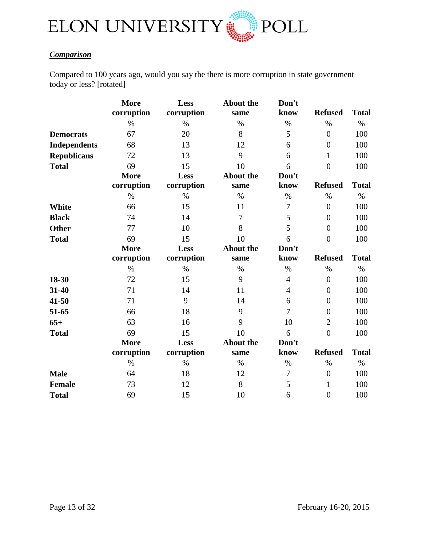

# <span id="page-12-0"></span>*Comparison*

Compared to 100 years ago, would you say the there is more corruption in state government today or less? [rotated]

|                     | <b>More</b> | Less       | <b>About the</b> | Don't          |                |              |
|---------------------|-------------|------------|------------------|----------------|----------------|--------------|
|                     | corruption  | corruption | same             | know           | <b>Refused</b> | <b>Total</b> |
|                     | $\%$        | $\%$       | $\%$             | $\%$           | $\%$           | $\%$         |
| <b>Democrats</b>    | 67          | 20         | 8                | 5              | $\overline{0}$ | 100          |
| <b>Independents</b> | 68          | 13         | 12               | 6              | $\overline{0}$ | 100          |
| <b>Republicans</b>  | 72          | 13         | 9                | 6              | $\mathbf{1}$   | 100          |
| <b>Total</b>        | 69          | 15         | 10               | 6              | $\overline{0}$ | 100          |
|                     | <b>More</b> | Less       | <b>About the</b> | Don't          |                |              |
|                     | corruption  | corruption | same             | know           | <b>Refused</b> | <b>Total</b> |
|                     | $\%$        | $\%$       | $\%$             | $\%$           | $\%$           | $\%$         |
| <b>White</b>        | 66          | 15         | 11               | $\overline{7}$ | $\overline{0}$ | 100          |
| <b>Black</b>        | 74          | 14         | 7                | 5              | $\theta$       | 100          |
| <b>Other</b>        | 77          | 10         | 8                | 5              | $\overline{0}$ | 100          |
| <b>Total</b>        | 69          | 15         | 10               | 6              | $\overline{0}$ | 100          |
|                     | <b>More</b> | Less       | <b>About the</b> | Don't          |                |              |
|                     | corruption  | corruption | same             | know           | <b>Refused</b> | <b>Total</b> |
|                     | $\%$        | $\%$       | $\%$             | $\%$           | $\%$           | $\%$         |
| 18-30               | 72          | 15         | 9                | $\overline{4}$ | $\overline{0}$ | 100          |
| 31-40               | 71          | 14         | 11               | $\overline{4}$ | $\overline{0}$ | 100          |
| 41-50               | 71          | 9          | 14               | 6              | $\overline{0}$ | 100          |
| 51-65               | 66          | 18         | 9                | $\overline{7}$ | $\overline{0}$ | 100          |
| $65+$               | 63          | 16         | 9                | 10             | $\overline{2}$ | 100          |
| <b>Total</b>        | 69          | 15         | 10               | 6              | $\overline{0}$ | 100          |
|                     | <b>More</b> | Less       | <b>About the</b> | Don't          |                |              |
|                     | corruption  | corruption | same             | know           | <b>Refused</b> | <b>Total</b> |
|                     | $\%$        | $\%$       | $\%$             | $\%$           | $\%$           | $\%$         |
| <b>Male</b>         | 64          | 18         | 12               | 7              | $\overline{0}$ | 100          |
| <b>Female</b>       | 73          | 12         | 8                | 5              | 1              | 100          |
| <b>Total</b>        | 69          | 15         | 10               | 6              | $\overline{0}$ | 100          |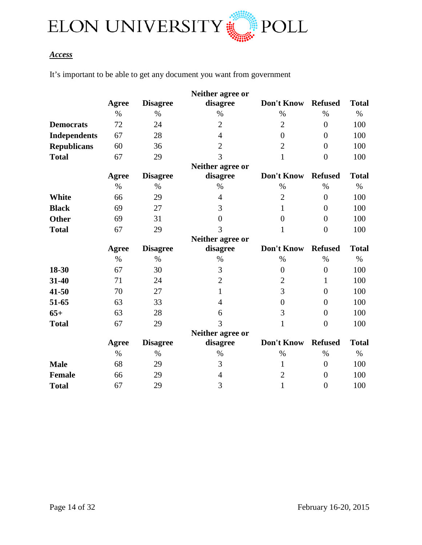

# <span id="page-13-0"></span>*Access*

It's important to be able to get any document you want from government

|                     |              |                 | Neither agree or |                  |                |              |
|---------------------|--------------|-----------------|------------------|------------------|----------------|--------------|
|                     | <b>Agree</b> | <b>Disagree</b> | disagree         | Don't Know       | <b>Refused</b> | <b>Total</b> |
|                     | $\%$         | $\%$            | $\%$             | $\%$             | $\%$           | $\%$         |
| <b>Democrats</b>    | 72           | 24              | $\overline{2}$   | $\overline{2}$   | $\overline{0}$ | 100          |
| <b>Independents</b> | 67           | 28              | $\overline{4}$   | $\overline{0}$   | $\theta$       | 100          |
| <b>Republicans</b>  | 60           | 36              | $\overline{2}$   | $\overline{2}$   | $\overline{0}$ | 100          |
| <b>Total</b>        | 67           | 29              | 3                | $\mathbf{1}$     | $\overline{0}$ | 100          |
|                     |              |                 | Neither agree or |                  |                |              |
|                     | Agree        | <b>Disagree</b> | disagree         | Don't Know       | <b>Refused</b> | <b>Total</b> |
|                     | $\%$         | $\%$            | $\%$             | $\%$             | $\%$           | $\%$         |
| White               | 66           | 29              | $\overline{4}$   | $\overline{2}$   | $\overline{0}$ | 100          |
| <b>Black</b>        | 69           | 27              | 3                | 1                | $\overline{0}$ | 100          |
| <b>Other</b>        | 69           | 31              | $\overline{0}$   | $\boldsymbol{0}$ | $\overline{0}$ | 100          |
| <b>Total</b>        | 67           | 29              | 3                | 1                | $\overline{0}$ | 100          |
|                     |              |                 | Neither agree or |                  |                |              |
|                     | <b>Agree</b> | <b>Disagree</b> | disagree         | Don't Know       | <b>Refused</b> | <b>Total</b> |
|                     | $\%$         | $\%$            | $\%$             | $\%$             | $\%$           | $\%$         |
| 18-30               | 67           | 30              | 3                | $\overline{0}$   | $\overline{0}$ | 100          |
| 31-40               | 71           | 24              | $\overline{2}$   | $\mathbf{2}$     | 1              | 100          |
| 41-50               | 70           | 27              | $\mathbf{1}$     | 3                | $\overline{0}$ | 100          |
| 51-65               | 63           | 33              | $\overline{4}$   | $\overline{0}$   | $\overline{0}$ | 100          |
| $65+$               | 63           | 28              | 6                | 3                | $\overline{0}$ | 100          |
| <b>Total</b>        | 67           | 29              | 3                | 1                | $\overline{0}$ | 100          |
|                     |              |                 | Neither agree or |                  |                |              |
|                     | <b>Agree</b> | <b>Disagree</b> | disagree         | Don't Know       | <b>Refused</b> | <b>Total</b> |
|                     | $\%$         | $\%$            | $\%$             | $\%$             | $\%$           | $\%$         |
| <b>Male</b>         | 68           | 29              | 3                | 1                | $\overline{0}$ | 100          |
| <b>Female</b>       | 66           | 29              | $\overline{4}$   | $\overline{2}$   | $\overline{0}$ | 100          |
| <b>Total</b>        | 67           | 29              | 3                | $\mathbf{1}$     | $\overline{0}$ | 100          |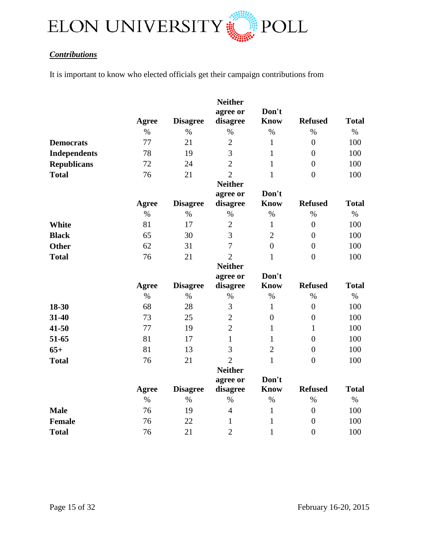

# <span id="page-14-0"></span>*Contributions*

It is important to know who elected officials get their campaign contributions from

|                     | Agree        | <b>Disagree</b> | <b>Neither</b><br>agree or<br>disagree | Don't<br><b>Know</b> | <b>Refused</b>   | <b>Total</b> |
|---------------------|--------------|-----------------|----------------------------------------|----------------------|------------------|--------------|
|                     | $\%$         | $\%$            | $\%$                                   | $\%$                 | $\%$             | $\%$         |
| <b>Democrats</b>    | 77           | 21              | $\overline{2}$                         | $\mathbf{1}$         | $\overline{0}$   | 100          |
| <b>Independents</b> | 78           | 19              | 3                                      | $\mathbf{1}$         | $\overline{0}$   | 100          |
| <b>Republicans</b>  | 72           | 24              | $\overline{2}$                         | $\mathbf{1}$         | $\overline{0}$   | 100          |
| <b>Total</b>        | 76           | 21              | $\overline{2}$                         | $\mathbf{1}$         | $\overline{0}$   | 100          |
|                     |              |                 | <b>Neither</b>                         | Don't                |                  |              |
|                     | <b>Agree</b> | <b>Disagree</b> | agree or<br>disagree                   | Know                 | <b>Refused</b>   | <b>Total</b> |
|                     | $\%$         | $\%$            | $\%$                                   | $\%$                 | $\%$             | $\%$         |
| <b>White</b>        | 81           | 17              | $\overline{2}$                         | $\mathbf{1}$         | $\overline{0}$   | 100          |
| <b>Black</b>        | 65           | 30              | 3                                      | $\overline{2}$       | $\overline{0}$   | 100          |
| <b>Other</b>        | 62           | 31              | 7                                      | $\overline{0}$       | $\boldsymbol{0}$ | 100          |
| <b>Total</b>        | 76           | 21              | $\overline{2}$                         | $\mathbf{1}$         | $\boldsymbol{0}$ | 100          |
|                     |              |                 | <b>Neither</b>                         |                      |                  |              |
|                     |              |                 | agree or                               | Don't                |                  |              |
|                     | Agree        | <b>Disagree</b> | disagree                               | <b>Know</b>          | <b>Refused</b>   | <b>Total</b> |
|                     | $\%$         | $\%$            | $\%$                                   | $\%$                 | $\%$             | $\%$         |
| 18-30               | 68           | 28              | $\overline{3}$                         | $\mathbf{1}$         | $\overline{0}$   | 100          |
| 31-40               | 73           | 25              | $\overline{2}$                         | $\overline{0}$       | $\overline{0}$   | 100          |
| 41-50               | 77           | 19              | $\overline{2}$                         | $\mathbf{1}$         | $\mathbf{1}$     | 100          |
| 51-65               | 81           | 17              | $\mathbf{1}$                           | $\mathbf{1}$         | $\overline{0}$   | 100          |
| $65+$               | 81           | 13              | 3                                      | $\overline{2}$       | $\boldsymbol{0}$ | 100          |
| <b>Total</b>        | 76           | 21              | $\overline{2}$                         | $\mathbf{1}$         | $\overline{0}$   | 100          |
|                     |              |                 | <b>Neither</b>                         |                      |                  |              |
|                     |              |                 | agree or                               | Don't                |                  |              |
|                     | <b>Agree</b> | <b>Disagree</b> | disagree                               | <b>Know</b>          | <b>Refused</b>   | <b>Total</b> |
|                     | $\%$         | $\%$            | $\%$                                   | $\%$                 | $\%$             | $\%$         |
| <b>Male</b>         | 76           | 19              | $\overline{4}$                         | $\mathbf{1}$         | $\overline{0}$   | 100          |
| <b>Female</b>       | 76           | 22              | 1                                      | $\mathbf{1}$         | $\overline{0}$   | 100          |
| <b>Total</b>        | 76           | 21              | $\overline{2}$                         | $\mathbf{1}$         | $\boldsymbol{0}$ | 100          |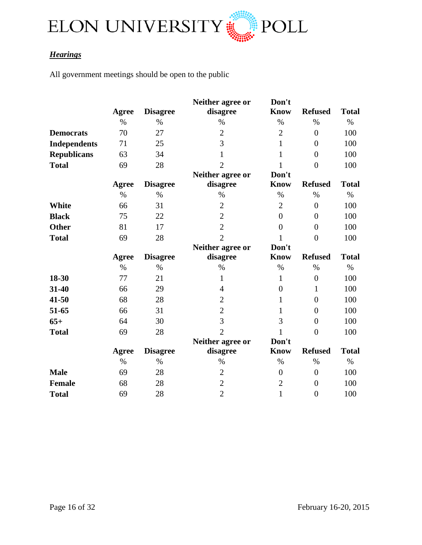

# <span id="page-15-0"></span>*Hearings*

All government meetings should be open to the public

|                     |       |                 | Neither agree or | Don't          |                  |              |
|---------------------|-------|-----------------|------------------|----------------|------------------|--------------|
|                     | Agree | <b>Disagree</b> | disagree         | <b>Know</b>    | <b>Refused</b>   | <b>Total</b> |
|                     | $\%$  | $\%$            | $\%$             | $\%$           | $\%$             | $\%$         |
| <b>Democrats</b>    | 70    | 27              | $\mathbf{2}$     | $\overline{2}$ | $\overline{0}$   | 100          |
| <b>Independents</b> | 71    | 25              | 3                | $\mathbf{1}$   | $\overline{0}$   | 100          |
| <b>Republicans</b>  | 63    | 34              | $\mathbf{1}$     | 1              | $\overline{0}$   | 100          |
| <b>Total</b>        | 69    | 28              | $\overline{2}$   | 1              | $\overline{0}$   | 100          |
|                     |       |                 | Neither agree or | Don't          |                  |              |
|                     | Agree | <b>Disagree</b> | disagree         | <b>Know</b>    | <b>Refused</b>   | <b>Total</b> |
|                     | $\%$  | $\%$            | $\%$             | $\%$           | $\%$             | $\%$         |
| <b>White</b>        | 66    | 31              | $\overline{2}$   | $\overline{2}$ | $\overline{0}$   | 100          |
| <b>Black</b>        | 75    | 22              | $\overline{2}$   | $\overline{0}$ | $\boldsymbol{0}$ | 100          |
| <b>Other</b>        | 81    | 17              | $\overline{2}$   | $\overline{0}$ | $\boldsymbol{0}$ | 100          |
| <b>Total</b>        | 69    | 28              | $\overline{2}$   | 1              | $\overline{0}$   | 100          |
|                     |       |                 | Neither agree or | Don't          |                  |              |
|                     | Agree | <b>Disagree</b> | disagree         | <b>Know</b>    | <b>Refused</b>   | <b>Total</b> |
|                     | $\%$  | $\%$            | $\%$             | $\%$           | $\%$             | $\%$         |
| 18-30               | 77    | 21              | $\mathbf{1}$     | $\mathbf{1}$   | $\boldsymbol{0}$ | 100          |
| 31-40               | 66    | 29              | 4                | $\overline{0}$ | $\mathbf{1}$     | 100          |
| 41-50               | 68    | 28              | $\overline{2}$   | 1              | $\overline{0}$   | 100          |
| 51-65               | 66    | 31              | $\overline{2}$   | $\mathbf{1}$   | $\boldsymbol{0}$ | 100          |
| $65+$               | 64    | 30              | 3                | 3              | $\overline{0}$   | 100          |
| <b>Total</b>        | 69    | 28              | $\overline{2}$   |                | $\overline{0}$   | 100          |
|                     |       |                 | Neither agree or | Don't          |                  |              |
|                     | Agree | <b>Disagree</b> | disagree         | <b>Know</b>    | <b>Refused</b>   | <b>Total</b> |
|                     | $\%$  | $\%$            | $\%$             | $\%$           | $\%$             | $\%$         |
| <b>Male</b>         | 69    | 28              | $\overline{2}$   | $\overline{0}$ | $\boldsymbol{0}$ | 100          |
| <b>Female</b>       | 68    | 28              | $\overline{2}$   | $\mathbf{2}$   | $\boldsymbol{0}$ | 100          |
| <b>Total</b>        | 69    | 28              | $\overline{2}$   | $\mathbf{1}$   | $\boldsymbol{0}$ | 100          |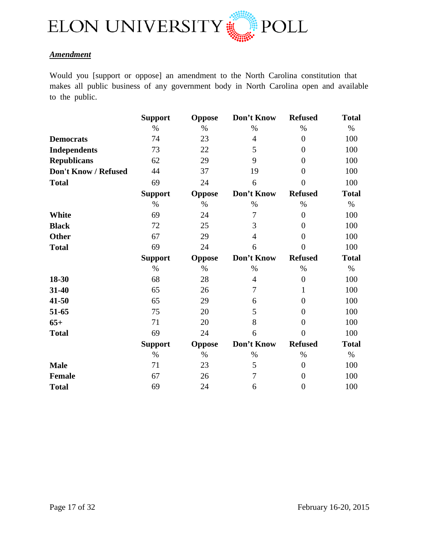

# <span id="page-16-0"></span>*Amendment*

Would you [support or oppose] an amendment to the North Carolina constitution that makes all public business of any government body in North Carolina open and available to the public.

|                      | <b>Support</b> | <b>Oppose</b> | Don't Know     | <b>Refused</b>   | <b>Total</b> |
|----------------------|----------------|---------------|----------------|------------------|--------------|
|                      | $\%$           | $\%$          | $\%$           | $\%$             | $\%$         |
| <b>Democrats</b>     | 74             | 23            | $\overline{4}$ | $\overline{0}$   | 100          |
| <b>Independents</b>  | 73             | 22            | 5              | $\overline{0}$   | 100          |
| <b>Republicans</b>   | 62             | 29            | 9              | $\overline{0}$   | 100          |
| Don't Know / Refused | 44             | 37            | 19             | $\boldsymbol{0}$ | 100          |
| <b>Total</b>         | 69             | 24            | 6              | $\overline{0}$   | 100          |
|                      | <b>Support</b> | Oppose        | Don't Know     | <b>Refused</b>   | <b>Total</b> |
|                      | $\%$           | $\%$          | $\%$           | $\%$             | $\%$         |
| White                | 69             | 24            | 7              | $\overline{0}$   | 100          |
| <b>Black</b>         | 72             | 25            | 3              | $\overline{0}$   | 100          |
| <b>Other</b>         | 67             | 29            | $\overline{4}$ | $\theta$         | 100          |
| <b>Total</b>         | 69             | 24            | 6              | $\overline{0}$   | 100          |
|                      | <b>Support</b> | <b>Oppose</b> | Don't Know     | <b>Refused</b>   | <b>Total</b> |
|                      | $\%$           | $\%$          | $\%$           | $\%$             | $\%$         |
| 18-30                | 68             | 28            | $\overline{4}$ | $\overline{0}$   | 100          |
| 31-40                | 65             | 26            | $\tau$         | 1                | 100          |
| 41-50                | 65             | 29            | 6              | $\overline{0}$   | 100          |
| 51-65                | 75             | 20            | 5              | $\overline{0}$   | 100          |
| $65+$                | 71             | 20            | 8              | $\overline{0}$   | 100          |
| <b>Total</b>         | 69             | 24            | 6              | $\overline{0}$   | 100          |
|                      | <b>Support</b> | <b>Oppose</b> | Don't Know     | <b>Refused</b>   | <b>Total</b> |
|                      | $\%$           | $\%$          | $\%$           | $\%$             | $\%$         |
| <b>Male</b>          | 71             | 23            | 5              | $\overline{0}$   | 100          |
| <b>Female</b>        | 67             | 26            | 7              | $\boldsymbol{0}$ | 100          |
| <b>Total</b>         | 69             | 24            | 6              | $\boldsymbol{0}$ | 100          |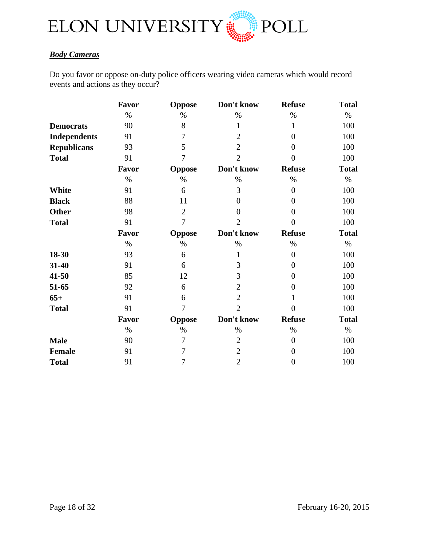

# <span id="page-17-0"></span>*Body Cameras*

Do you favor or oppose on-duty police officers wearing video cameras which would record events and actions as they occur?

|                     | Favor | <b>Oppose</b>  | Don't know     | <b>Refuse</b>  | <b>Total</b> |
|---------------------|-------|----------------|----------------|----------------|--------------|
|                     | $\%$  | $\%$           | $\%$           | $\%$           | $\%$         |
| <b>Democrats</b>    | 90    | 8              | 1              | 1              | 100          |
| <b>Independents</b> | 91    | 7              | $\overline{2}$ | $\overline{0}$ | 100          |
| <b>Republicans</b>  | 93    | 5              | $\overline{2}$ | $\overline{0}$ | 100          |
| <b>Total</b>        | 91    | 7              | $\overline{2}$ | $\theta$       | 100          |
|                     | Favor | Oppose         | Don't know     | <b>Refuse</b>  | <b>Total</b> |
|                     | $\%$  | $\%$           | $\%$           | $\%$           | $\%$         |
| <b>White</b>        | 91    | 6              | 3              | $\theta$       | 100          |
| <b>Black</b>        | 88    | 11             | $\overline{0}$ | $\overline{0}$ | 100          |
| <b>Other</b>        | 98    | $\overline{2}$ | $\theta$       | $\theta$       | 100          |
| <b>Total</b>        | 91    | 7              | $\overline{2}$ | $\overline{0}$ | 100          |
|                     | Favor | <b>Oppose</b>  | Don't know     | <b>Refuse</b>  | <b>Total</b> |
|                     | $\%$  | $\%$           | $\%$           | $\%$           | $\%$         |
| 18-30               | 93    | 6              | 1              | $\theta$       | 100          |
| 31-40               | 91    | 6              | 3              | $\theta$       | 100          |
| $41 - 50$           | 85    | 12             | 3              | $\overline{0}$ | 100          |
| 51-65               | 92    | 6              | $\overline{2}$ | $\theta$       | 100          |
| $65+$               | 91    | 6              | $\overline{2}$ |                | 100          |
| <b>Total</b>        | 91    | 7              | $\overline{2}$ | $\overline{0}$ | 100          |
|                     | Favor | <b>Oppose</b>  | Don't know     | <b>Refuse</b>  | <b>Total</b> |
|                     | $\%$  | $\%$           | %              | $\%$           | $\%$         |
| <b>Male</b>         | 90    | 7              | $\overline{2}$ | $\theta$       | 100          |
| <b>Female</b>       | 91    | 7              | $\overline{2}$ | $\overline{0}$ | 100          |
| <b>Total</b>        | 91    | 7              | $\overline{2}$ | $\theta$       | 100          |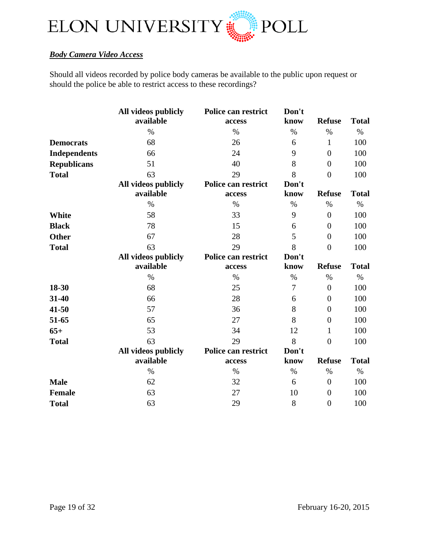

# <span id="page-18-0"></span>*Body Camera Video Access*

Should all videos recorded by police body cameras be available to the public upon request or should the police be able to restrict access to these recordings?

|                     | All videos publicly<br>available | Police can restrict<br>access | Don't<br>know | <b>Refuse</b>  | <b>Total</b> |
|---------------------|----------------------------------|-------------------------------|---------------|----------------|--------------|
|                     | $\%$                             | $\%$                          | $\%$          | $\%$           | $\%$         |
| <b>Democrats</b>    | 68                               | 26                            | 6             | 1              | 100          |
| <b>Independents</b> | 66                               | 24                            | 9             | $\overline{0}$ | 100          |
| <b>Republicans</b>  | 51                               | 40                            | 8             | $\overline{0}$ | 100          |
| <b>Total</b>        | 63                               | 29                            | 8             | $\overline{0}$ | 100          |
|                     | All videos publicly<br>available | Police can restrict<br>access | Don't<br>know | <b>Refuse</b>  | <b>Total</b> |
|                     | $\%$                             | $\%$                          | $\%$          | $\%$           | $\%$         |
| White               | 58                               | 33                            | 9             | $\overline{0}$ | 100          |
| <b>Black</b>        | 78                               | 15                            | 6             | $\overline{0}$ | 100          |
| <b>Other</b>        | 67                               | 28                            | 5             | $\overline{0}$ | 100          |
| <b>Total</b>        | 63                               | 29                            | 8             | $\overline{0}$ | 100          |
|                     | All videos publicly              | Police can restrict           | Don't         |                |              |
|                     | available                        | access                        | know          | <b>Refuse</b>  | <b>Total</b> |
|                     | $\%$                             | $\%$                          | $\%$          | $\%$           | $\%$         |
| 18-30               | 68                               | 25                            | 7             | $\overline{0}$ | 100          |
| 31-40               | 66                               | 28                            | 6             | $\overline{0}$ | 100          |
| 41-50               | 57                               | 36                            | 8             | $\overline{0}$ | 100          |
| 51-65               | 65                               | 27                            | 8             | $\overline{0}$ | 100          |
| $65+$               | 53                               | 34                            | 12            | 1              | 100          |
| <b>Total</b>        | 63                               | 29                            | 8             | $\overline{0}$ | 100          |
|                     | All videos publicly              | Police can restrict           | Don't         |                |              |
|                     | available                        | access                        | know          | <b>Refuse</b>  | <b>Total</b> |
|                     | $\%$                             | $\%$                          | $\%$          | $\%$           | $\%$         |
| <b>Male</b>         | 62                               | 32                            | 6             | $\overline{0}$ | 100          |
| <b>Female</b>       | 63                               | 27                            | 10            | $\overline{0}$ | 100          |
| <b>Total</b>        | 63                               | 29                            | 8             | $\overline{0}$ | 100          |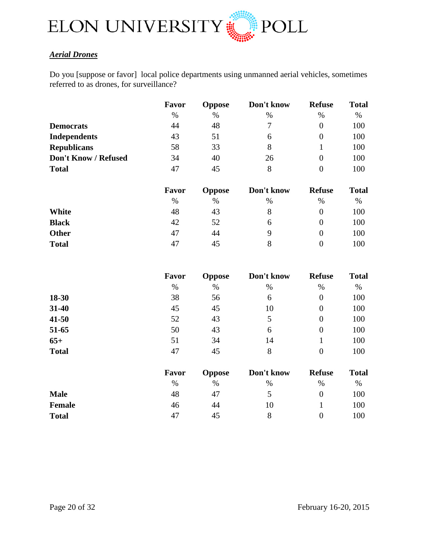

# <span id="page-19-0"></span>*Aerial Drones*

Do you [suppose or favor] local police departments using unmanned aerial vehicles, sometimes referred to as drones, for surveillance?

|                      | Favor | <b>Oppose</b> | Don't know | <b>Refuse</b>  | <b>Total</b> |
|----------------------|-------|---------------|------------|----------------|--------------|
|                      | $\%$  | $\%$          | $\%$       | $\%$           | %            |
| <b>Democrats</b>     | 44    | 48            | 7          | $\overline{0}$ | 100          |
| <b>Independents</b>  | 43    | 51            | 6          | $\theta$       | 100          |
| <b>Republicans</b>   | 58    | 33            | 8          |                | 100          |
| Don't Know / Refused | 34    | 40            | 26         | $\theta$       | 100          |
| <b>Total</b>         | 47    | 45            | 8          | 0              | 100          |
|                      |       |               |            |                |              |

|              | Favor | <b>Oppose</b> | Don't know | <b>Refuse</b> | <b>Total</b> |
|--------------|-------|---------------|------------|---------------|--------------|
|              | $\%$  | $\%$          | $\%$       | $\%$          | $\%$         |
| White        | 48    | 43            | 8          |               | 100          |
| <b>Black</b> | 42    | 52            | 6          |               | 100          |
| <b>Other</b> | 47    | 44            | q          |               | 100          |
| <b>Total</b> | 47    | 45            | 8          |               | 100          |

|               | Favor | <b>Oppose</b> | Don't know | <b>Refuse</b>  | <b>Total</b> |
|---------------|-------|---------------|------------|----------------|--------------|
|               | $\%$  | $\%$          | $\%$       | %              | %            |
| 18-30         | 38    | 56            | 6          | $\overline{0}$ | 100          |
| 31-40         | 45    | 45            | 10         | $\theta$       | 100          |
| $41 - 50$     | 52    | 43            | 5          | $\overline{0}$ | 100          |
| 51-65         | 50    | 43            | 6          | $\overline{0}$ | 100          |
| $65+$         | 51    | 34            | 14         |                | 100          |
| <b>Total</b>  | 47    | 45            | 8          | $\overline{0}$ | 100          |
|               | Favor | <b>Oppose</b> | Don't know | <b>Refuse</b>  | <b>Total</b> |
|               | $\%$  | $\%$          | $\%$       | $\%$           | %            |
| <b>Male</b>   | 48    | 47            | 5          | $\overline{0}$ | 100          |
| <b>Female</b> | 46    | 44            | 10         |                | 100          |

**Total** 47 45 8 0 100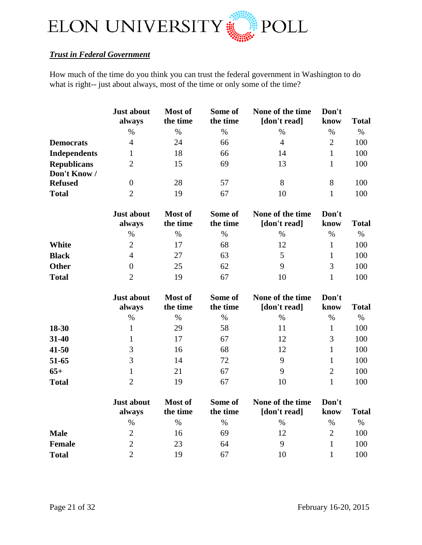

# <span id="page-20-0"></span>*Trust in Federal Government*

How much of the time do you think you can trust the federal government in Washington to do what is right-- just about always, most of the time or only some of the time?

|                                    | Just about<br>always        | Most of<br>the time | Some of<br>the time | None of the time<br>[don't read] | Don't<br>know  | <b>Total</b> |
|------------------------------------|-----------------------------|---------------------|---------------------|----------------------------------|----------------|--------------|
|                                    | $\%$                        | $\%$                | $\%$                | $\%$                             | $\%$           | $\%$         |
| <b>Democrats</b>                   | $\overline{4}$              | 24                  | 66                  | $\overline{4}$                   | $\overline{2}$ | 100          |
| <b>Independents</b>                | 1                           | 18                  | 66                  | 14                               | $\mathbf{1}$   | 100          |
| <b>Republicans</b><br>Don't Know / | $\overline{2}$              | 15                  | 69                  | 13                               | $\mathbf{1}$   | 100          |
| <b>Refused</b>                     | $\overline{0}$              | 28                  | 57                  | 8                                | 8              | 100          |
| <b>Total</b>                       | $\overline{2}$              | 19                  | 67                  | 10                               | $\mathbf{1}$   | 100          |
|                                    | <b>Just about</b><br>always | Most of<br>the time | Some of<br>the time | None of the time<br>[don't read] | Don't<br>know  | <b>Total</b> |
|                                    | $\%$                        | $\%$                | $\%$                | $\%$                             | $\%$           | $\%$         |
| <b>White</b>                       | $\overline{2}$              | 17                  | 68                  | 12                               | $\mathbf{1}$   | 100          |
| <b>Black</b>                       | $\overline{4}$              | 27                  | 63                  | 5                                | 1              | 100          |
| <b>Other</b>                       | $\theta$                    | 25                  | 62                  | 9                                | 3              | 100          |
| <b>Total</b>                       | $\overline{2}$              | 19                  | 67                  | 10                               | $\mathbf{1}$   | 100          |
|                                    | <b>Just about</b>           | Most of             | Some of             | None of the time                 | Don't          |              |
|                                    | always                      | the time            | the time            | [don't read]                     | know           | <b>Total</b> |
|                                    | $\%$                        | $\%$                | $\%$                | $\%$                             | $\%$           | $\%$         |
| 18-30                              | $\mathbf{1}$                | 29                  | 58                  | 11                               | $\mathbf{1}$   | 100          |
| 31-40                              | 1                           | 17                  | 67                  | 12                               | 3              | 100          |
| $41 - 50$                          | 3                           | 16                  | 68                  | 12                               | $\mathbf{1}$   | 100          |
| 51-65                              | 3                           | 14                  | 72                  | 9                                | 1              | 100          |
| $65+$                              | $\mathbf{1}$                | 21                  | 67                  | 9                                | $\overline{2}$ | 100          |
| <b>Total</b>                       | $\overline{2}$              | 19                  | 67                  | 10                               | $\mathbf{1}$   | 100          |
|                                    | <b>Just about</b><br>always | Most of<br>the time | Some of<br>the time | None of the time<br>[don't read] | Don't<br>know  | <b>Total</b> |
|                                    | $\%$                        | $\%$                | $\%$                | $\%$                             | $\%$           | $\%$         |
| <b>Male</b>                        | $\overline{2}$              | 16                  | 69                  | 12                               | $\overline{2}$ | 100          |

**Female** 2 23 64 9 1 100 **Total** 2 19 67 10 1 100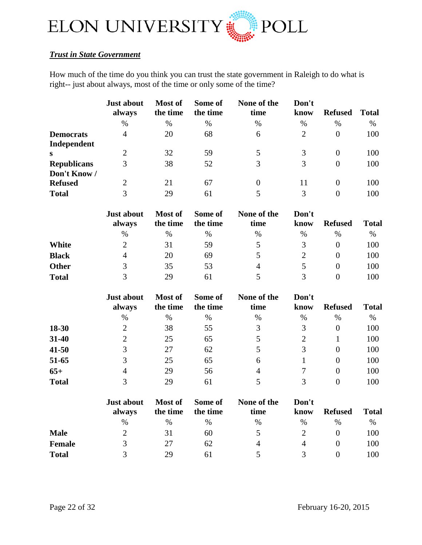

# <span id="page-21-0"></span>*Trust in State Government*

How much of the time do you think you can trust the state government in Raleigh to do what is right-- just about always, most of the time or only some of the time?

|                    | <b>Just about</b><br>always | <b>Most of</b><br>the time | Some of<br>the time | None of the<br>time | Don't<br>know  | <b>Refused</b> | <b>Total</b> |
|--------------------|-----------------------------|----------------------------|---------------------|---------------------|----------------|----------------|--------------|
|                    | $\%$                        | %                          | $\%$                | $\%$                | $\%$           | $\%$           | $\%$         |
| <b>Democrats</b>   | $\overline{4}$              | 20                         | 68                  | 6                   | $\overline{2}$ | $\theta$       | 100          |
| Independent        |                             |                            |                     |                     |                |                |              |
| S                  | 2                           | 32                         | 59                  |                     | 3              | 0              | 100          |
| <b>Republicans</b> | 3                           | 38                         | 52                  | 3                   | 3              | $\theta$       | 100          |
| Don't Know /       |                             |                            |                     |                     |                |                |              |
| <b>Refused</b>     | 2                           | 21                         | 67                  | $\theta$            | 11             | $\Omega$       | 100          |
| <b>Total</b>       | 3                           | 29                         | 61                  |                     | 3              | 0              | 100          |

|              | <b>Just about</b><br>always | <b>Most of</b><br>the time | Some of<br>the time | None of the<br>time | Don't<br>know | <b>Refused</b> | <b>Total</b> |
|--------------|-----------------------------|----------------------------|---------------------|---------------------|---------------|----------------|--------------|
|              | $\%$                        | %                          | %                   | $\%$                | $\%$          | $\%$           | $\%$         |
| White        |                             | 31                         | 59                  |                     |               |                | 100          |
| <b>Black</b> | 4                           | 20                         | 69                  |                     |               |                | 100          |
| <b>Other</b> |                             | 35                         | 53                  | 4                   |               |                | 100          |
| <b>Total</b> |                             | 29                         |                     |                     |               |                | 100          |

|              | <b>Just about</b><br>always | Most of<br>the time | Some of<br>the time | None of the<br>time | Don't<br>know | <b>Refused</b> | <b>Total</b> |
|--------------|-----------------------------|---------------------|---------------------|---------------------|---------------|----------------|--------------|
|              | %                           | $\%$                | $\%$                | %                   | $\%$          | $\%$           | %            |
| 18-30        |                             | 38                  | 55                  | 3                   |               | $\theta$       | 100          |
| 31-40        | 2                           | 25                  | 65                  | 5                   |               |                | 100          |
| $41 - 50$    | 3                           | 27                  | 62                  | 5                   |               | 0              | 100          |
| 51-65        |                             | 25                  | 65                  | 6                   |               | $\theta$       | 100          |
| $65+$        | 4                           | 29                  | 56                  | 4                   |               | 0              | 100          |
| <b>Total</b> |                             | 29                  | 61                  |                     |               | $\Omega$       | 100          |

|               | <b>Just about</b><br>always | <b>Most of</b><br>the time | Some of<br>the time | None of the<br>time | Don't<br>know | <b>Refused</b> | <b>Total</b> |
|---------------|-----------------------------|----------------------------|---------------------|---------------------|---------------|----------------|--------------|
|               | %                           | $\%$                       | $\%$                | $\%$                | $\%$          | $\%$           | $\%$         |
| <b>Male</b>   |                             | 31                         | 60                  |                     |               |                | 100          |
| <b>Female</b> | $\mathcal{R}$               | 27                         | 62                  | 4                   | 4             |                | 100          |
| <b>Total</b>  |                             | 29                         | 61                  |                     |               |                | 100          |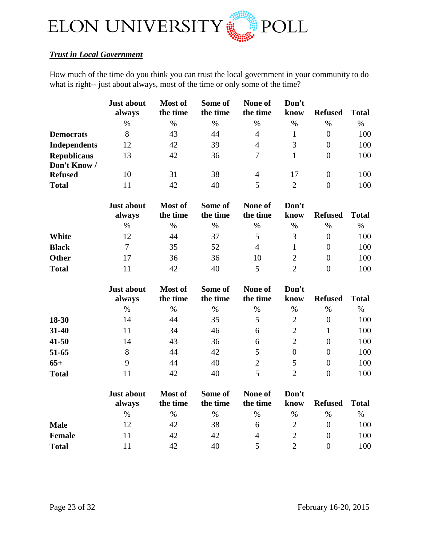

# <span id="page-22-0"></span>*Trust in Local Government*

How much of the time do you think you can trust the local government in your community to do what is right-- just about always, most of the time or only some of the time?

| <b>Just about</b><br>always | Most of<br>the time | Some of<br>the time | None of<br>the time | Don't<br>know | <b>Refused</b> | <b>Total</b> |
|-----------------------------|---------------------|---------------------|---------------------|---------------|----------------|--------------|
| $\%$                        | $\%$                | $\%$                | $\%$                | $\%$          | %              | $\%$         |
| 8                           | 43                  | 44                  | 4                   |               | $\overline{0}$ | 100          |
| 12                          | 42                  | 39                  | $\overline{4}$      | 3             | $\theta$       | 100          |
| 13                          | 42                  | 36                  | 7                   |               | $\theta$       | 100          |
|                             |                     |                     |                     |               |                |              |
| 10                          | 31                  | 38                  | $\overline{4}$      | 17            | $\theta$       | 100          |
| 11                          | 42                  | 40                  | 5                   | 2             | $\theta$       | 100          |
|                             |                     |                     |                     |               |                |              |

|              | <b>Just about</b><br>always | Most of<br>the time | Some of<br>the time | None of<br>the time | Don't<br>know | <b>Refused</b> | <b>Total</b> |
|--------------|-----------------------------|---------------------|---------------------|---------------------|---------------|----------------|--------------|
|              | %                           | %                   | $\%$                | %                   | $\%$          | $\frac{0}{0}$  | $\%$         |
| White        | 12                          | 44                  | 37                  |                     |               |                | 100          |
| <b>Black</b> |                             | 35                  | 52                  | 4                   |               |                | 100          |
| <b>Other</b> |                             | 36                  | 36                  | 10                  |               |                | 100          |
| <b>Total</b> |                             | 42                  | 40                  |                     |               |                | 100          |

|              | <b>Just about</b><br>always | Most of<br>the time | Some of<br>the time | None of<br>the time | Don't<br>know | <b>Refused</b> | <b>Total</b> |
|--------------|-----------------------------|---------------------|---------------------|---------------------|---------------|----------------|--------------|
|              | %                           | %                   | $\%$                | $\%$                | %             | %              | $\%$         |
| 18-30        | 14                          | 44                  | 35                  |                     | 2             | 0              | 100          |
| 31-40        | 11                          | 34                  | 46                  | 6                   |               |                | 100          |
| $41 - 50$    | 14                          | 43                  | 36                  | 6                   |               | 0              | 100          |
| 51-65        | 8                           | 44                  | 42                  |                     | 0             | 0              | 100          |
| $65+$        | 9                           | 44                  | 40                  | 2                   | 5             | 0              | 100          |
| <b>Total</b> |                             | 42                  | 40                  |                     | ◠             |                | 100          |

|              | <b>Just about</b><br>always | <b>Most of</b><br>the time | Some of<br>the time | None of<br>the time | Don't<br>know | <b>Refused</b> | <b>Total</b> |
|--------------|-----------------------------|----------------------------|---------------------|---------------------|---------------|----------------|--------------|
|              | $\%$                        | $\%$                       | $\frac{0}{0}$       | $\%$                | $\frac{0}{0}$ | $\%$           | %            |
| <b>Male</b>  | 12                          | 42                         | 38                  | h                   |               |                | 100          |
| Female       |                             | 42                         | 42                  | 4                   |               |                | 100          |
| <b>Total</b> |                             | 42                         | 40                  |                     |               |                | 100          |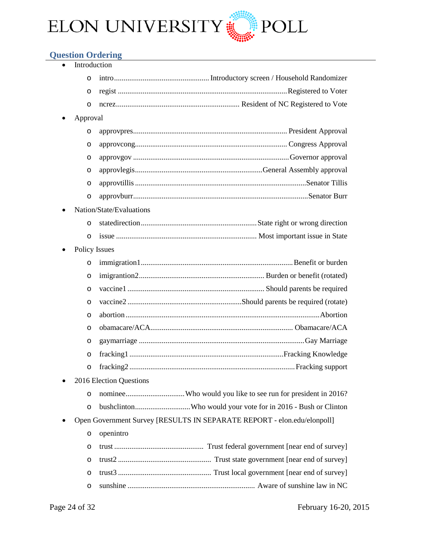

# <span id="page-23-0"></span>**Question Ordering**

| Introduction         |                                                                         |
|----------------------|-------------------------------------------------------------------------|
| O                    |                                                                         |
| O                    |                                                                         |
| O                    |                                                                         |
| Approval             |                                                                         |
| O                    |                                                                         |
| O                    |                                                                         |
| O                    |                                                                         |
| O                    |                                                                         |
| O                    |                                                                         |
| O                    |                                                                         |
|                      | Nation/State/Evaluations                                                |
| O                    |                                                                         |
| $\circ$              |                                                                         |
| <b>Policy Issues</b> |                                                                         |
| O                    |                                                                         |
| O                    |                                                                         |
| $\circ$              |                                                                         |
| $\circ$              |                                                                         |
| $\circ$              |                                                                         |
| O                    |                                                                         |
| O                    |                                                                         |
| $\circ$              |                                                                         |
| O                    |                                                                         |
|                      | 2016 Election Questions                                                 |
| O                    |                                                                         |
| O                    |                                                                         |
|                      | Open Government Survey [RESULTS IN SEPARATE REPORT - elon.edu/elonpoll] |
| O                    | openintro                                                               |
| O                    |                                                                         |
| O                    |                                                                         |
| O                    |                                                                         |
| O                    |                                                                         |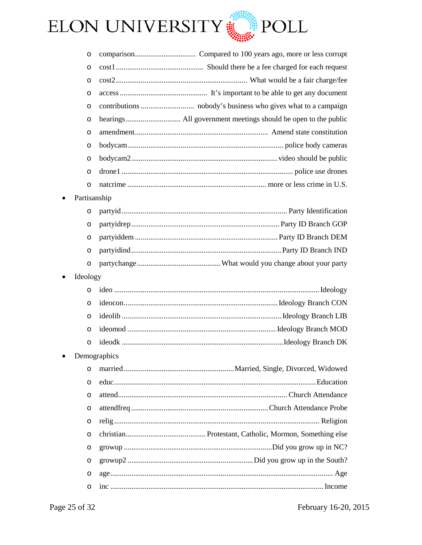

| O                     |              |
|-----------------------|--------------|
| O                     |              |
| O                     |              |
| O                     |              |
| O                     |              |
| O                     |              |
| O                     |              |
| O                     |              |
| $\circ$               |              |
| $\circ$               |              |
| $\circ$               |              |
|                       | Partisanship |
| $\circ$               |              |
| O                     |              |
| $\circ$               |              |
| O                     |              |
| $\circ$               |              |
| Ideology<br>$\bullet$ |              |
| $\circ$               |              |
| $\circ$               |              |
| $\circ$               |              |
| $\circ$               |              |
| $\circ$               |              |
|                       | Demographics |
| $\circ$               |              |
| $\circ$               |              |
| O                     |              |
| O                     |              |
| O                     |              |
| $\circ$               |              |
| O                     |              |
| $\circ$               |              |
| O                     |              |
| O                     |              |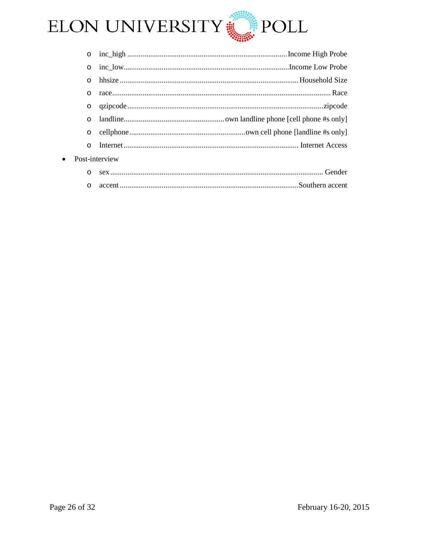

| $\circ$                     |  |                                           |  |
|-----------------------------|--|-------------------------------------------|--|
| $\circ$                     |  |                                           |  |
| $\circ$                     |  |                                           |  |
| $\circ$                     |  |                                           |  |
| $\circ$                     |  |                                           |  |
| $\Omega$                    |  |                                           |  |
| $\circ$                     |  |                                           |  |
| $\circ$                     |  |                                           |  |
| Post-interview<br>$\bullet$ |  |                                           |  |
|                             |  | $\sim$ $\sim$ $\sim$ $\sim$ $\sim$ $\sim$ |  |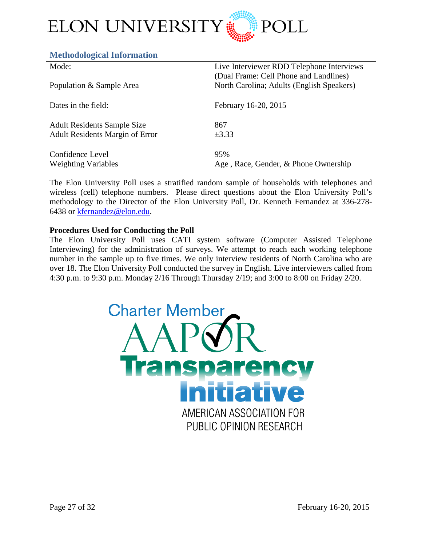

# <span id="page-26-0"></span>**Methodological Information**

| Mode:                                  | Live Interviewer RDD Telephone Interviews<br>(Dual Frame: Cell Phone and Landlines) |
|----------------------------------------|-------------------------------------------------------------------------------------|
| Population & Sample Area               | North Carolina; Adults (English Speakers)                                           |
| Dates in the field:                    | February 16-20, 2015                                                                |
| <b>Adult Residents Sample Size</b>     | 867                                                                                 |
| <b>Adult Residents Margin of Error</b> | $\pm 3.33$                                                                          |
| Confidence Level                       | 95%                                                                                 |
| <b>Weighting Variables</b>             | Age, Race, Gender, & Phone Ownership                                                |

The Elon University Poll uses a stratified random sample of households with telephones and wireless (cell) telephone numbers. Please direct questions about the Elon University Poll's methodology to the Director of the Elon University Poll, Dr. Kenneth Fernandez at 336-278- 6438 or [kfernandez@elon.edu.](mailto:kfernandez@elon.edu)

# **Procedures Used for Conducting the Poll**

The Elon University Poll uses CATI system software (Computer Assisted Telephone Interviewing) for the administration of surveys. We attempt to reach each working telephone number in the sample up to five times. We only interview residents of North Carolina who are over 18. The Elon University Poll conducted the survey in English. Live interviewers called from 4:30 p.m. to 9:30 p.m. Monday 2/16 Through Thursday 2/19; and 3:00 to 8:00 on Friday 2/20.

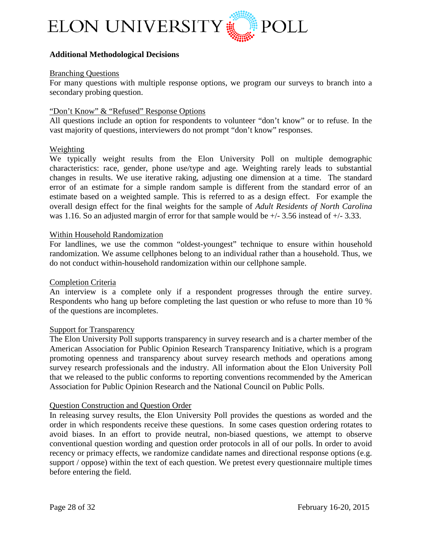

# **Additional Methodological Decisions**

## Branching Questions

For many questions with multiple response options, we program our surveys to branch into a secondary probing question.

#### "Don't Know" & "Refused" Response Options

All questions include an option for respondents to volunteer "don't know" or to refuse. In the vast majority of questions, interviewers do not prompt "don't know" responses.

## Weighting

We typically weight results from the Elon University Poll on multiple demographic characteristics: race, gender, phone use/type and age. Weighting rarely leads to substantial changes in results. We use iterative raking, adjusting one dimension at a time. The standard error of an estimate for a simple random sample is different from the standard error of an estimate based on a weighted sample. This is referred to as a design effect. For example the overall design effect for the final weights for the sample of *Adult Residents of North Carolina* was 1.16. So an adjusted margin of error for that sample would be  $+/- 3.56$  instead of  $+/- 3.33$ .

#### Within Household Randomization

For landlines, we use the common "oldest-youngest" technique to ensure within household randomization. We assume cellphones belong to an individual rather than a household. Thus, we do not conduct within-household randomization within our cellphone sample.

## Completion Criteria

An interview is a complete only if a respondent progresses through the entire survey. Respondents who hang up before completing the last question or who refuse to more than 10 % of the questions are incompletes.

# **Support for Transparency**

The Elon University Poll supports transparency in survey research and is a charter member of the American Association for Public Opinion Research Transparency Initiative, which is a program promoting openness and transparency about survey research methods and operations among survey research professionals and the industry. All information about the Elon University Poll that we released to the public conforms to reporting conventions recommended by the American Association for Public Opinion Research and the National Council on Public Polls.

#### Question Construction and Question Order

In releasing survey results, the Elon University Poll provides the questions as worded and the order in which respondents receive these questions. In some cases question ordering rotates to avoid biases. In an effort to provide neutral, non-biased questions, we attempt to observe conventional question wording and question order protocols in all of our polls. In order to avoid recency or primacy effects, we randomize candidate names and directional response options (e.g. support / oppose) within the text of each question. We pretest every questionnaire multiple times before entering the field.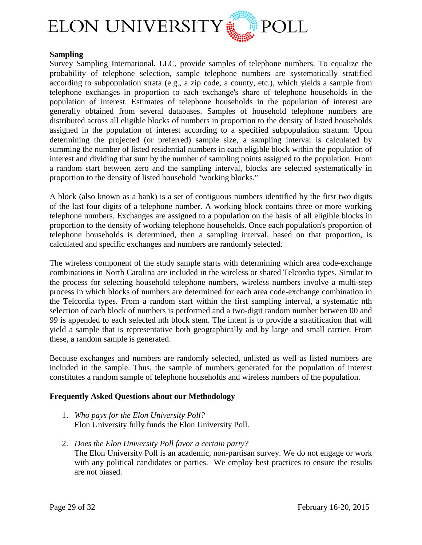

# **Sampling**

Survey Sampling International, LLC, provide samples of telephone numbers. To equalize the probability of telephone selection, sample telephone numbers are systematically stratified according to subpopulation strata (e.g., a zip code, a county, etc.), which yields a sample from telephone exchanges in proportion to each exchange's share of telephone households in the population of interest. Estimates of telephone households in the population of interest are generally obtained from several databases. Samples of household telephone numbers are distributed across all eligible blocks of numbers in proportion to the density of listed households assigned in the population of interest according to a specified subpopulation stratum. Upon determining the projected (or preferred) sample size, a sampling interval is calculated by summing the number of listed residential numbers in each eligible block within the population of interest and dividing that sum by the number of sampling points assigned to the population. From a random start between zero and the sampling interval, blocks are selected systematically in proportion to the density of listed household "working blocks."

A block (also known as a bank) is a set of contiguous numbers identified by the first two digits of the last four digits of a telephone number. A working block contains three or more working telephone numbers. Exchanges are assigned to a population on the basis of all eligible blocks in proportion to the density of working telephone households. Once each population's proportion of telephone households is determined, then a sampling interval, based on that proportion, is calculated and specific exchanges and numbers are randomly selected.

The wireless component of the study sample starts with determining which area code-exchange combinations in North Carolina are included in the wireless or shared Telcordia types. Similar to the process for selecting household telephone numbers, wireless numbers involve a multi-step process in which blocks of numbers are determined for each area code-exchange combination in the Telcordia types. From a random start within the first sampling interval, a systematic nth selection of each block of numbers is performed and a two-digit random number between 00 and 99 is appended to each selected nth block stem. The intent is to provide a stratification that will yield a sample that is representative both geographically and by large and small carrier. From these, a random sample is generated.

Because exchanges and numbers are randomly selected, unlisted as well as listed numbers are included in the sample. Thus, the sample of numbers generated for the population of interest constitutes a random sample of telephone households and wireless numbers of the population.

## **Frequently Asked Questions about our Methodology**

- 1. *Who pays for the Elon University Poll?* Elon University fully funds the Elon University Poll.
- 2. *Does the Elon University Poll favor a certain party?* The Elon University Poll is an academic, non-partisan survey. We do not engage or work with any political candidates or parties. We employ best practices to ensure the results are not biased.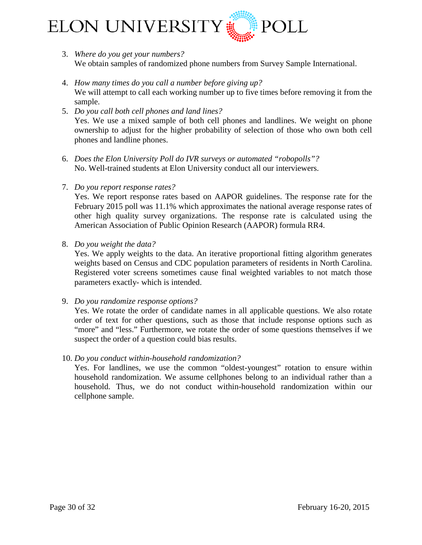

- 3. *Where do you get your numbers?* We obtain samples of randomized phone numbers from Survey Sample International.
- 4. *How many times do you call a number before giving up?* We will attempt to call each working number up to five times before removing it from the sample.
- 5. *Do you call both cell phones and land lines?* Yes. We use a mixed sample of both cell phones and landlines. We weight on phone ownership to adjust for the higher probability of selection of those who own both cell phones and landline phones.
- 6. *Does the Elon University Poll do IVR surveys or automated "robopolls"?* No. Well-trained students at Elon University conduct all our interviewers.
- 7. *Do you report response rates?*

Yes. We report response rates based on AAPOR guidelines. The response rate for the February 2015 poll was 11.1% which approximates the national average response rates of other high quality survey organizations. The response rate is calculated using the American Association of Public Opinion Research (AAPOR) formula RR4.

8. *Do you weight the data?*

Yes. We apply weights to the data. An iterative proportional fitting algorithm generates weights based on Census and CDC population parameters of residents in North Carolina. Registered voter screens sometimes cause final weighted variables to not match those parameters exactly- which is intended.

9. *Do you randomize response options?*

Yes. We rotate the order of candidate names in all applicable questions. We also rotate order of text for other questions, such as those that include response options such as "more" and "less." Furthermore, we rotate the order of some questions themselves if we suspect the order of a question could bias results.

10. *Do you conduct within-household randomization?*

Yes. For landlines, we use the common "oldest-youngest" rotation to ensure within household randomization. We assume cellphones belong to an individual rather than a household. Thus, we do not conduct within-household randomization within our cellphone sample.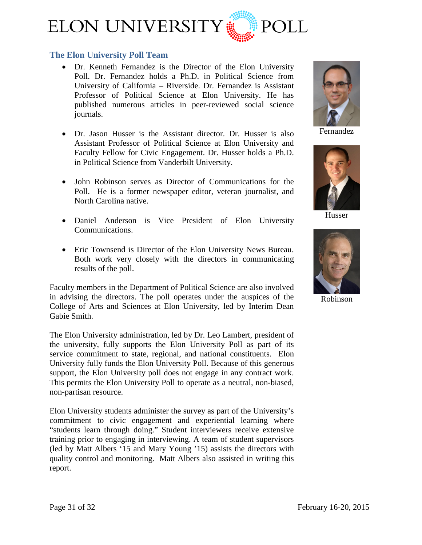

# <span id="page-30-0"></span>**The Elon University Poll Team**

- [Dr. Kenneth Fernandez](http://www.elon.edu/directories/profile/?user=kfernandez) is the Director of the Elon University Poll. Dr. Fernandez holds a Ph.D. in Political Science from University of California – Riverside. Dr. Fernandez is Assistant Professor of Political Science at Elon University. He has published numerous articles in peer-reviewed social science journals.
- [Dr. Jason Husser](http://www.elon.edu/directories/profile/?user=jhusser) is the Assistant director. Dr. Husser is also Assistant Professor of Political Science at Elon University and Faculty Fellow for Civic Engagement. Dr. Husser holds a Ph.D. in Political Science from Vanderbilt University.
- John Robinson serves as Director of Communications for the Poll. He is a former newspaper editor, veteran journalist, and North Carolina native.
- Daniel Anderson is Vice President of Elon University Communications.
- Eric Townsend is Director of the Elon University News Bureau. Both work very closely with the directors in communicating results of the poll.

Faculty members in the Department of Political Science are also involved in advising the directors. The poll operates under the auspices of the College of Arts and Sciences at Elon University, led by Interim Dean Gabie Smith.

The Elon University administration, led by Dr. Leo Lambert, president of the university, fully supports the Elon University Poll as part of its service commitment to state, regional, and national constituents. Elon University fully funds the Elon University Poll. Because of this generous support, the Elon University poll does not engage in any contract work. This permits the Elon University Poll to operate as a neutral, non-biased, non-partisan resource.

Elon University students administer the survey as part of the University's commitment to civic engagement and experiential learning where "students learn through doing." Student interviewers receive extensive training prior to engaging in interviewing. A team of student supervisors (led by Matt Albers '15 and Mary Young '15) assists the directors with quality control and monitoring. Matt Albers also assisted in writing this report.



Fernandez



Husser



Robinson